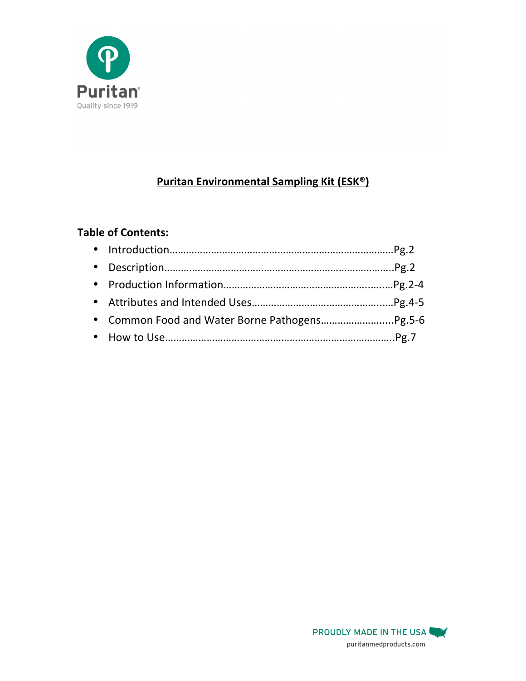

# **Puritan Environmental Sampling Kit (ESK®)**

## **Table of Contents:**

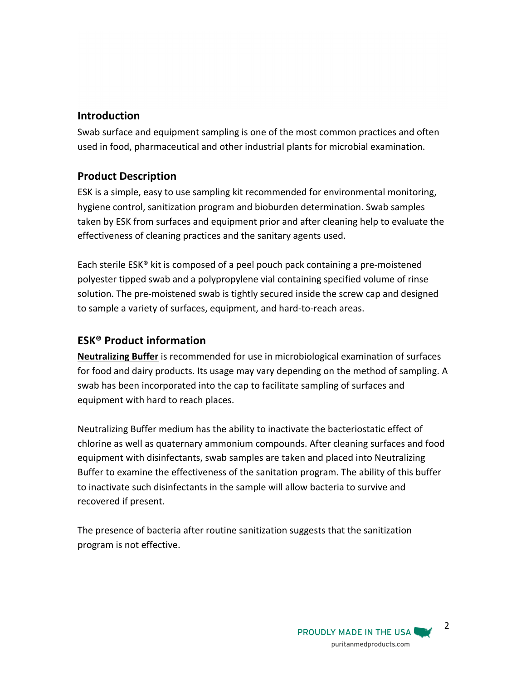## **Introduction**

Swab surface and equipment sampling is one of the most common practices and often used in food, pharmaceutical and other industrial plants for microbial examination.

## **Product Description**

ESK is a simple, easy to use sampling kit recommended for environmental monitoring, hygiene control, sanitization program and bioburden determination. Swab samples taken by ESK from surfaces and equipment prior and after cleaning help to evaluate the effectiveness of cleaning practices and the sanitary agents used.

Each sterile ESK® kit is composed of a peel pouch pack containing a pre-moistened polyester tipped swab and a polypropylene vial containing specified volume of rinse solution. The pre-moistened swab is tightly secured inside the screw cap and designed to sample a variety of surfaces, equipment, and hard-to-reach areas.

## **ESK® Product information**

**Neutralizing Buffer** is recommended for use in microbiological examination of surfaces for food and dairy products. Its usage may vary depending on the method of sampling. A swab has been incorporated into the cap to facilitate sampling of surfaces and equipment with hard to reach places.

Neutralizing Buffer medium has the ability to inactivate the bacteriostatic effect of chlorine as well as quaternary ammonium compounds. After cleaning surfaces and food equipment with disinfectants, swab samples are taken and placed into Neutralizing Buffer to examine the effectiveness of the sanitation program. The ability of this buffer to inactivate such disinfectants in the sample will allow bacteria to survive and recovered if present.

The presence of bacteria after routine sanitization suggests that the sanitization program is not effective.

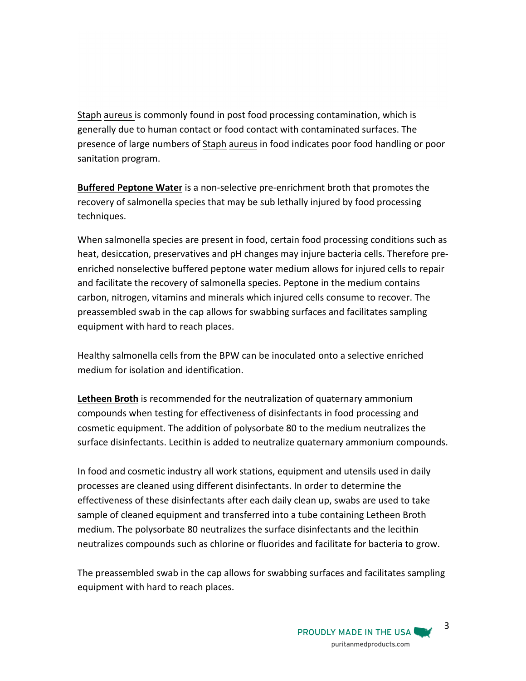Staph aureus is commonly found in post food processing contamination, which is generally due to human contact or food contact with contaminated surfaces. The presence of large numbers of Staph aureus in food indicates poor food handling or poor sanitation program.

**Buffered Peptone Water** is a non-selective pre-enrichment broth that promotes the recovery of salmonella species that may be sub lethally injured by food processing techniques.

When salmonella species are present in food, certain food processing conditions such as heat, desiccation, preservatives and pH changes may injure bacteria cells. Therefore preenriched nonselective buffered peptone water medium allows for injured cells to repair and facilitate the recovery of salmonella species. Peptone in the medium contains carbon, nitrogen, vitamins and minerals which injured cells consume to recover. The preassembled swab in the cap allows for swabbing surfaces and facilitates sampling equipment with hard to reach places.

Healthy salmonella cells from the BPW can be inoculated onto a selective enriched medium for isolation and identification.

**Letheen Broth** is recommended for the neutralization of quaternary ammonium compounds when testing for effectiveness of disinfectants in food processing and cosmetic equipment. The addition of polysorbate 80 to the medium neutralizes the surface disinfectants. Lecithin is added to neutralize quaternary ammonium compounds.

In food and cosmetic industry all work stations, equipment and utensils used in daily processes are cleaned using different disinfectants. In order to determine the effectiveness of these disinfectants after each daily clean up, swabs are used to take sample of cleaned equipment and transferred into a tube containing Letheen Broth medium. The polysorbate 80 neutralizes the surface disinfectants and the lecithin neutralizes compounds such as chlorine or fluorides and facilitate for bacteria to grow.

The preassembled swab in the cap allows for swabbing surfaces and facilitates sampling equipment with hard to reach places.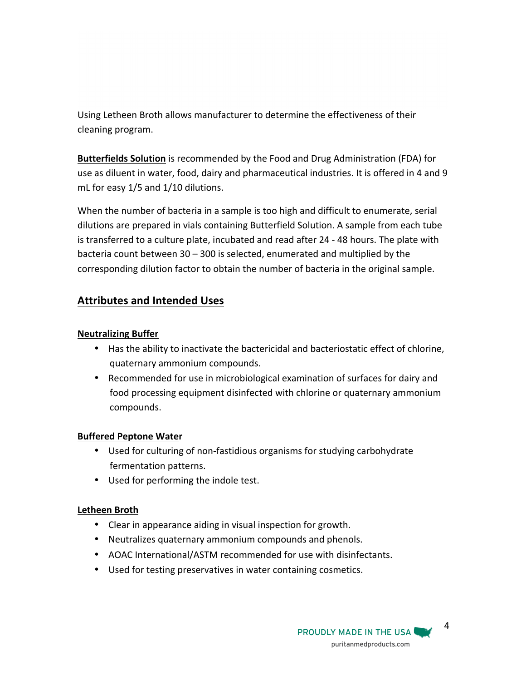Using Letheen Broth allows manufacturer to determine the effectiveness of their cleaning program.

**Butterfields Solution** is recommended by the Food and Drug Administration (FDA) for use as diluent in water, food, dairy and pharmaceutical industries. It is offered in 4 and 9 mL for easy  $1/5$  and  $1/10$  dilutions.

When the number of bacteria in a sample is too high and difficult to enumerate, serial dilutions are prepared in vials containing Butterfield Solution. A sample from each tube is transferred to a culture plate, incubated and read after 24 - 48 hours. The plate with bacteria count between  $30 - 300$  is selected, enumerated and multiplied by the corresponding dilution factor to obtain the number of bacteria in the original sample.

## **Attributes and Intended Uses**

#### **Neutralizing Buffer**

- Has the ability to inactivate the bactericidal and bacteriostatic effect of chlorine, quaternary ammonium compounds.
- Recommended for use in microbiological examination of surfaces for dairy and food processing equipment disinfected with chlorine or quaternary ammonium compounds.

#### **Buffered Peptone Water**

- Used for culturing of non-fastidious organisms for studying carbohydrate fermentation patterns.
- Used for performing the indole test.

## **Letheen Broth**

- Clear in appearance aiding in visual inspection for growth.
- Neutralizes quaternary ammonium compounds and phenols.
- AOAC International/ASTM recommended for use with disinfectants.
- Used for testing preservatives in water containing cosmetics.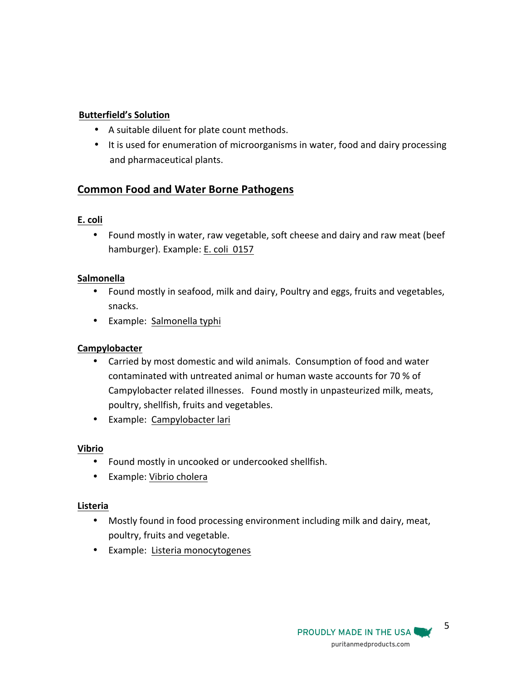## **Butterfield's Solution**

- A suitable diluent for plate count methods.
- It is used for enumeration of microorganisms in water, food and dairy processing and pharmaceutical plants.

## **Common Food and Water Borne Pathogens**

## **E. coli**

• Found mostly in water, raw vegetable, soft cheese and dairy and raw meat (beef hamburger). Example: E. coli 0157

## **Salmonella**

- Found mostly in seafood, milk and dairy, Poultry and eggs, fruits and vegetables, snacks.
- Example: Salmonella typhi

## **Campylobacter**

- Carried by most domestic and wild animals. Consumption of food and water contaminated with untreated animal or human waste accounts for 70 % of Campylobacter related illnesses. Found mostly in unpasteurized milk, meats, poultry, shellfish, fruits and vegetables.
- Example: Campylobacter lari

## **Vibrio**

- Found mostly in uncooked or undercooked shellfish.
- Example: Vibrio cholera

## **Listeria**

- Mostly found in food processing environment including milk and dairy, meat, poultry, fruits and vegetable.
- Example: Listeria monocytogenes

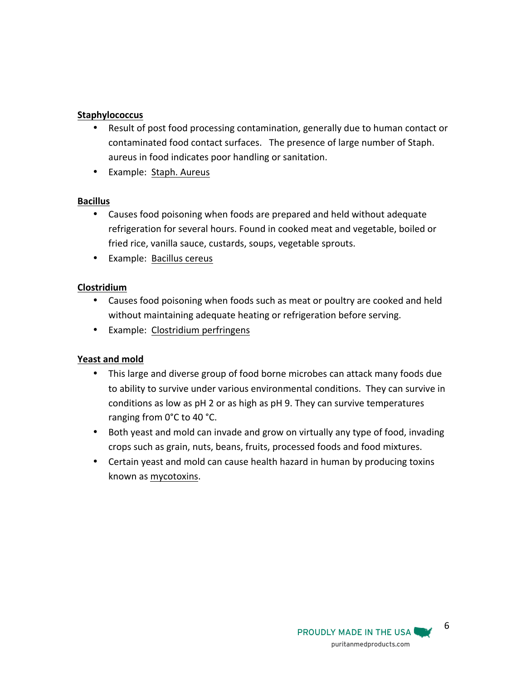#### **Staphylococcus**

- Result of post food processing contamination, generally due to human contact or contaminated food contact surfaces. The presence of large number of Staph. aureus in food indicates poor handling or sanitation.
- Example: Staph. Aureus

#### **Bacillus**

- Causes food poisoning when foods are prepared and held without adequate refrigeration for several hours. Found in cooked meat and vegetable, boiled or fried rice, vanilla sauce, custards, soups, vegetable sprouts.
- Example: Bacillus cereus

#### **Clostridium**

- Causes food poisoning when foods such as meat or poultry are cooked and held without maintaining adequate heating or refrigeration before serving.
- Example: Clostridium perfringens

## **Yeast and mold**

- This large and diverse group of food borne microbes can attack many foods due to ability to survive under various environmental conditions. They can survive in conditions as low as pH 2 or as high as pH 9. They can survive temperatures ranging from 0°C to 40 °C.
- Both yeast and mold can invade and grow on virtually any type of food, invading crops such as grain, nuts, beans, fruits, processed foods and food mixtures.
- Certain yeast and mold can cause health hazard in human by producing toxins known as mycotoxins.